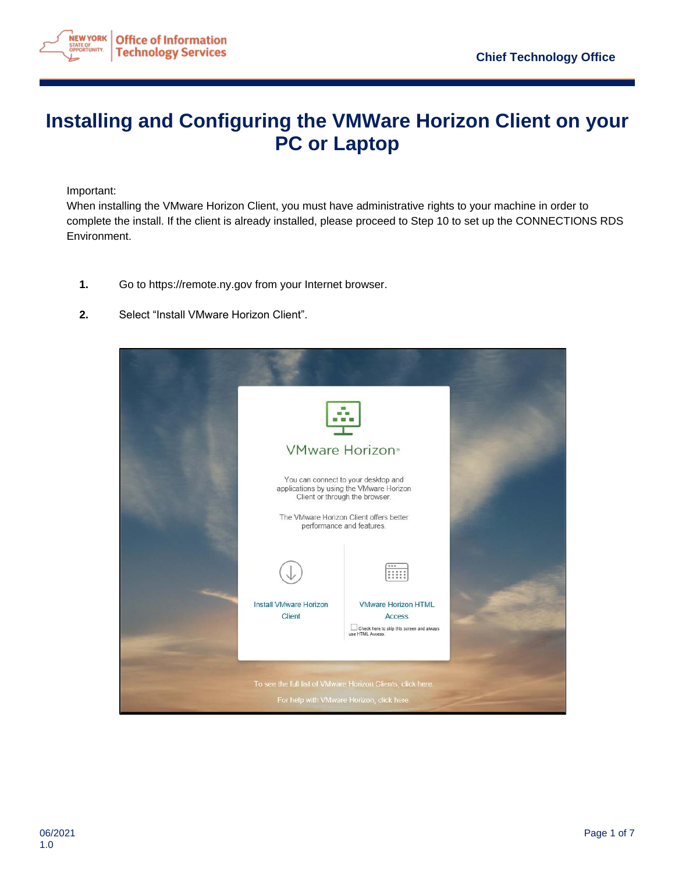

## **Installing and Configuring the VMWare Horizon Client on your PC or Laptop**

Important:

When installing the VMware Horizon Client, you must have administrative rights to your machine in order to complete the install. If the client is already installed, please proceed to Step 10 to set up the CONNECTIONS RDS Environment.

- **1.** Go to https://remote.ny.gov from your Internet browser.
- **2.** Select "Install VMware Horizon Client".

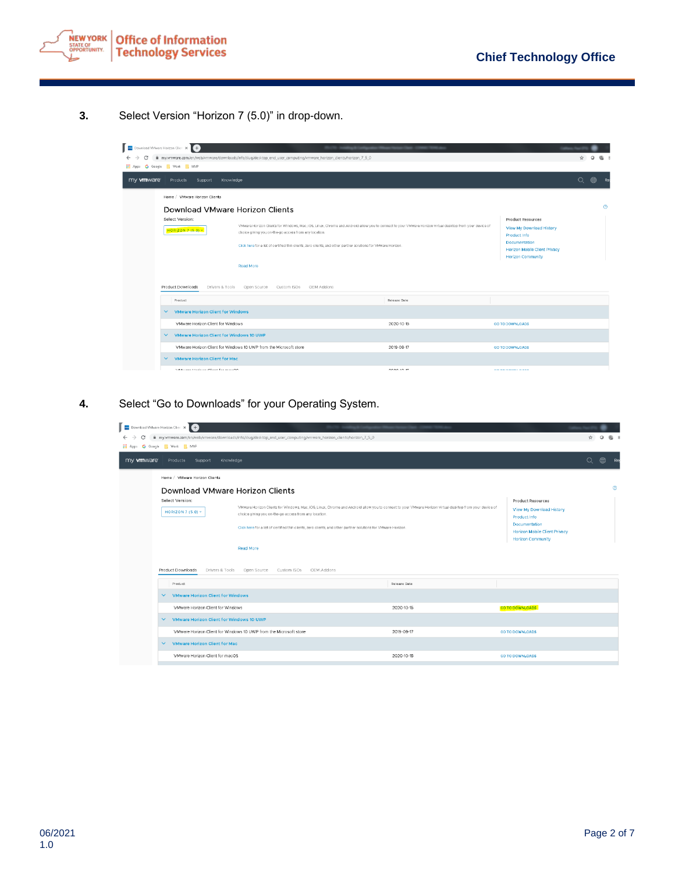

**3.** Select Version "Horizon 7 (5.0)" in drop-down.

| Download VMware Horizon Clien X +<br>my.wmware.com/en/web/vmware/downloads/info/slug/desktop_end_user_computing/vmware_horizon_dients/horizon_7_5_0<br>c<br>$\leftarrow$ $\rightarrow$<br>MVP G Google Work MVP |                                                                                                                                                                                                                                                                                                                                                                                                                                                                                                                                                      |                                                                                                           |         |                |         |
|-----------------------------------------------------------------------------------------------------------------------------------------------------------------------------------------------------------------|------------------------------------------------------------------------------------------------------------------------------------------------------------------------------------------------------------------------------------------------------------------------------------------------------------------------------------------------------------------------------------------------------------------------------------------------------------------------------------------------------------------------------------------------------|-----------------------------------------------------------------------------------------------------------|---------|----------------|---------|
| my <b>vm</b> ware                                                                                                                                                                                               |                                                                                                                                                                                                                                                                                                                                                                                                                                                                                                                                                      | Products Support Knowledge                                                                                | $\circ$ | $^{\circledR}$ |         |
|                                                                                                                                                                                                                 |                                                                                                                                                                                                                                                                                                                                                                                                                                                                                                                                                      | Home / VMware Horizon Clients<br>Download VMware Horizon Clients                                          |         |                | $\odot$ |
|                                                                                                                                                                                                                 | Select Version:<br>Product Resources<br>VMware Horizon Clients for Windows, Mac, iOS, Linux, Chrome and Android allow you to connect to your VMware Horizon virtual desktop from your device of<br>View My Download History<br><b>HORIZON 7 (5.0) v</b><br>choice giving you on-the-go access from any location.<br>Product Info<br>Documentation<br>Click here for a list of certified thin clients, zero clients, and other partner solutions for VMware Horizon.<br>Horizon Mobile Client Privacy<br><b>Horizon Community</b><br><b>Read More</b> |                                                                                                           |         |                |         |
|                                                                                                                                                                                                                 | Product                                                                                                                                                                                                                                                                                                                                                                                                                                                                                                                                              | Release Date                                                                                              |         |                |         |
|                                                                                                                                                                                                                 | $\checkmark$                                                                                                                                                                                                                                                                                                                                                                                                                                                                                                                                         | <b>VMware Horizon Client for Windows</b>                                                                  |         |                |         |
|                                                                                                                                                                                                                 |                                                                                                                                                                                                                                                                                                                                                                                                                                                                                                                                                      | VMware Horizon Client for Windows<br>2020-10-15<br><b>GO TO DOWNLOADS</b>                                 |         |                |         |
|                                                                                                                                                                                                                 | $\checkmark$                                                                                                                                                                                                                                                                                                                                                                                                                                                                                                                                         | VMware Horizon Client for Windows 10 UWP                                                                  |         |                |         |
|                                                                                                                                                                                                                 |                                                                                                                                                                                                                                                                                                                                                                                                                                                                                                                                                      | VMware Horizon Client for Windows 10 UWP from the Microsoft store<br>2019-09-17<br><b>GO TO DOWNLOADS</b> |         |                |         |
|                                                                                                                                                                                                                 | $\checkmark$                                                                                                                                                                                                                                                                                                                                                                                                                                                                                                                                         | <b>VMware Horizon Client for Mac</b>                                                                      |         |                |         |
|                                                                                                                                                                                                                 |                                                                                                                                                                                                                                                                                                                                                                                                                                                                                                                                                      | <b>Silikowan Hadron Plant for month</b><br>3030.10.15<br><b>CATABALALAINE</b>                             |         |                |         |

**4.** Select "Go to Downloads" for your Operating System.

| Download VMware Horizon Clien X +<br>my.wmware.com/en/web/wmware/downloads/info/slug/desktop_end_user_computing/vmware_horizon_clients/horizon_7_5_0<br>$\leftarrow$<br>Hi Apps G Google Work NWP |                                                                                                                                                                                                                                                                                                                                                                                                                                                                                                                                          |              |                        |  |  | 强 8     |  |  |  |  |
|---------------------------------------------------------------------------------------------------------------------------------------------------------------------------------------------------|------------------------------------------------------------------------------------------------------------------------------------------------------------------------------------------------------------------------------------------------------------------------------------------------------------------------------------------------------------------------------------------------------------------------------------------------------------------------------------------------------------------------------------------|--------------|------------------------|--|--|---------|--|--|--|--|
| $\alpha$<br>$\circledR$<br>my <b>vm</b> ware<br>Products<br>Support<br>Knowledge                                                                                                                  |                                                                                                                                                                                                                                                                                                                                                                                                                                                                                                                                          |              |                        |  |  |         |  |  |  |  |
| Home / VMware Horizon Clients                                                                                                                                                                     |                                                                                                                                                                                                                                                                                                                                                                                                                                                                                                                                          |              |                        |  |  | $\odot$ |  |  |  |  |
| Select Version:<br>HORIZON 7 (5.0) v                                                                                                                                                              | Download VMware Horizon Clients<br><b>Product Resources</b><br>VMware Horizon Clients for Windows, Mac, iOS, Linux, Chrome and Android allow you to connect to your VMware Horizon virtual desktop from your device of<br>View My Download History<br>choice giving you on-the-go access from any location.<br>Product Info<br>Documentation<br>Click here for a list of certified thin clients, zero clients, and other partner solutions for VMware Horizon.<br>Horizon Mobile Client Privacy<br><b>Horizon Community</b><br>Read More |              |                        |  |  |         |  |  |  |  |
| Product Downloads<br>Drivers & Tools                                                                                                                                                              | Open Source Custom ISOs OEM Addons                                                                                                                                                                                                                                                                                                                                                                                                                                                                                                       |              |                        |  |  |         |  |  |  |  |
| Product                                                                                                                                                                                           |                                                                                                                                                                                                                                                                                                                                                                                                                                                                                                                                          | Release Date |                        |  |  |         |  |  |  |  |
|                                                                                                                                                                                                   | $\vee$ VMware Horizon Client for Windows                                                                                                                                                                                                                                                                                                                                                                                                                                                                                                 |              |                        |  |  |         |  |  |  |  |
| VMware Horizon Client for Windows                                                                                                                                                                 |                                                                                                                                                                                                                                                                                                                                                                                                                                                                                                                                          | 2020-10-15   | <b>GO TO DOWNLOADS</b> |  |  |         |  |  |  |  |
| $\vee$ VMware Horizon Client for Windows 10 UWP                                                                                                                                                   |                                                                                                                                                                                                                                                                                                                                                                                                                                                                                                                                          |              |                        |  |  |         |  |  |  |  |
|                                                                                                                                                                                                   | VMware Horizon Client for Windows 10 UWP from the Microsoft store                                                                                                                                                                                                                                                                                                                                                                                                                                                                        | 2019-09-17   | <b>GO TO DOWNLOADS</b> |  |  |         |  |  |  |  |
| <b>VMware Horizon Client for Mac</b><br>$\checkmark$                                                                                                                                              |                                                                                                                                                                                                                                                                                                                                                                                                                                                                                                                                          |              |                        |  |  |         |  |  |  |  |
| VMware Horizon Client for macOS                                                                                                                                                                   |                                                                                                                                                                                                                                                                                                                                                                                                                                                                                                                                          | 2020-10-15   | <b>GO TO DOWNLOADS</b> |  |  |         |  |  |  |  |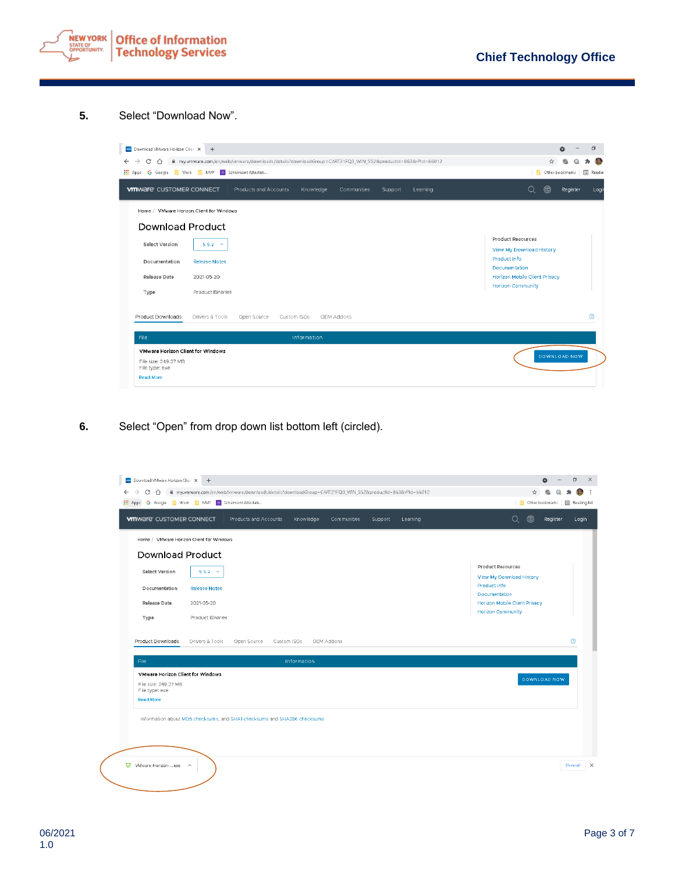

## **5.** Select "Download Now".

| Download VMware Horizon Clien X          | $+$                                                                                                      | $\Box$<br>$\bullet$                                       |
|------------------------------------------|----------------------------------------------------------------------------------------------------------|-----------------------------------------------------------|
| C<br>$\rightarrow$<br>⇧<br>$\leftarrow$  | m my.vmware.com/en/web/vmware/downloads/details?downloadGroup=CART21FQ3_WIN_552&productId=863&rPId=66012 | ☆<br>國                                                    |
| <b>III</b> Apps                          | G Google Nork NMP B Schalmont Attestati                                                                  | <b>In</b><br>Other bookmarks<br>国<br>Readin               |
| <b>WITH A CONDUCT CONDUCT</b>            | Products and Accounts<br>Knowledge<br>Communities<br>Support<br>Learning                                 | ⊕<br>Q<br>Register<br>Logir                               |
| Home / VMware Horizon Client for Windows |                                                                                                          |                                                           |
| Download Product                         |                                                                                                          |                                                           |
| Select Version                           | $5.5.2 \times$                                                                                           | <b>Product Resources</b><br>View My Download History      |
| Documentation                            | <b>Release Notes</b>                                                                                     | Product Info<br>Documentation                             |
| <b>Release Date</b>                      | 2021-05-20                                                                                               | Horizon Mobile Client Privacy<br><b>Horizon Community</b> |
| Type                                     | Product Binaries                                                                                         |                                                           |
| Product Downloads                        | Drivers & Tools<br>Open Source<br>Custom ISOs<br>OEM Addons                                              | ⊚                                                         |
| File                                     | Information                                                                                              |                                                           |
| <b>VMware Horizon Client for Windows</b> |                                                                                                          |                                                           |
| File size: 249.27 MB<br>File type: exe   |                                                                                                          | DOWNLOAD NOW                                              |
| <b>Read More</b>                         |                                                                                                          |                                                           |

**6.** Select "Open" from drop down list bottom left (circled).

|                                                            | Home / VMware Horizon Client for Windows                                 |             |             |            |  |                                                |
|------------------------------------------------------------|--------------------------------------------------------------------------|-------------|-------------|------------|--|------------------------------------------------|
|                                                            | Download Product                                                         |             |             |            |  |                                                |
| Select Version                                             | $5.5.2 - y$                                                              |             |             |            |  | Product Resources                              |
| Documentation                                              | <b>Release Notes</b>                                                     |             |             |            |  | View My Download History<br>Product Info       |
| Release Date                                               | 2021-05-20                                                               |             |             |            |  | Documentation<br>Horizon Mobile Client Privacy |
| Type                                                       | Product Binaries                                                         |             |             |            |  | Horizon Community                              |
| Product Downloads                                          | Drivers & Tools                                                          | Open Source | Custom ISOs | OEM Addons |  | ⊚                                              |
| File                                                       |                                                                          |             | Information |            |  |                                                |
| File size: 249.27 MB<br>File type: exe<br><b>Read More</b> | VMware Horizon Client for Windows                                        |             |             |            |  | DOWNLOAD NOW                                   |
|                                                            | Information about MD5 checksums, and SHA1 checksums and SHA256 checksums |             |             |            |  |                                                |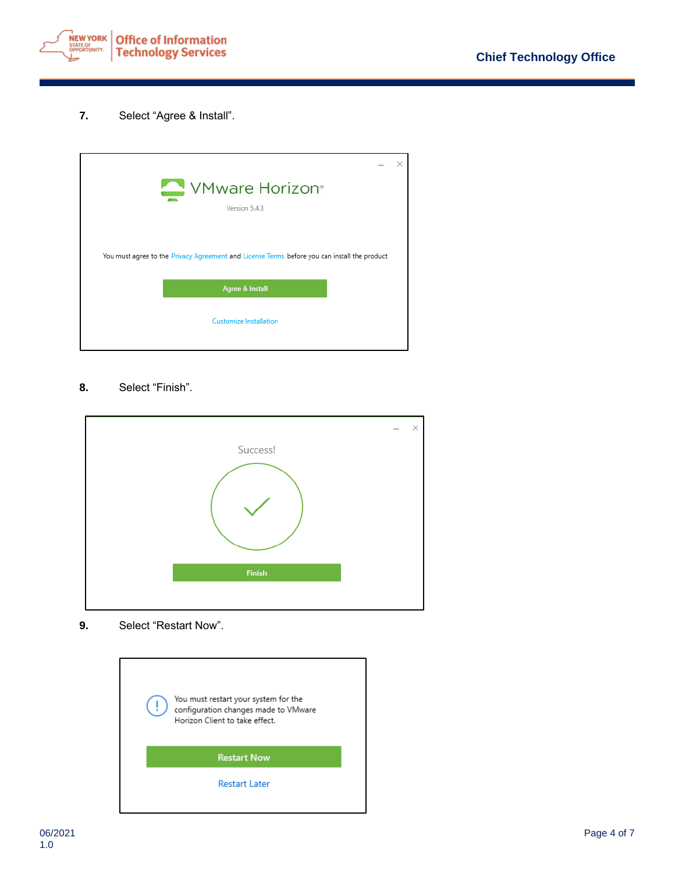

**7.** Select "Agree & Install".



## **8.** Select "Finish".



**9.** Select "Restart Now".

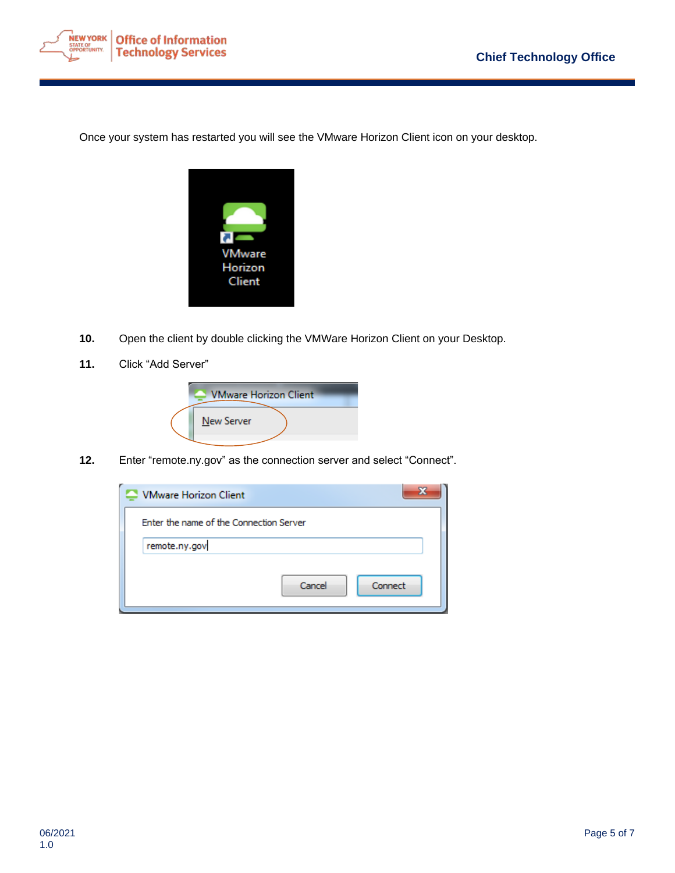

Once your system has restarted you will see the VMware Horizon Client icon on your desktop.



- **10.** Open the client by double clicking the VMWare Horizon Client on your Desktop.
- **11.** Click "Add Server"



**12.** Enter "remote.ny.gov" as the connection server and select "Connect".

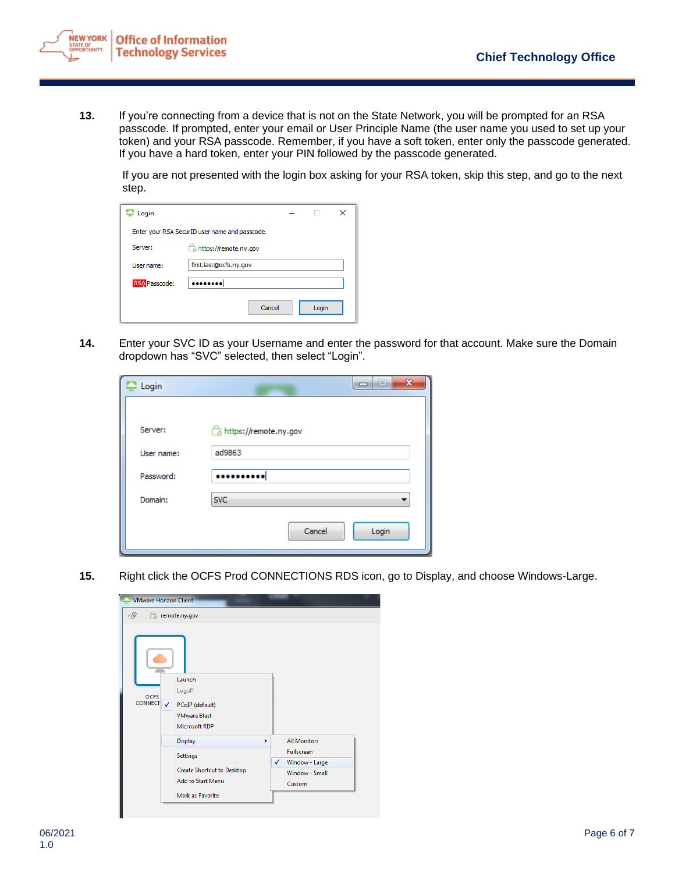

**13.** If you're connecting from a device that is not on the State Network, you will be prompted for an RSA passcode. If prompted, enter your email or User Principle Name (the user name you used to set up your token) and your RSA passcode. Remember, if you have a soft token, enter only the passcode generated. If you have a hard token, enter your PIN followed by the passcode generated.

If you are not presented with the login box asking for your RSA token, skip this step, and go to the next step.

| Login                                          |                        | × |  |  |  |  |  |  |
|------------------------------------------------|------------------------|---|--|--|--|--|--|--|
| Enter your RSA SecurID user name and passcode. |                        |   |  |  |  |  |  |  |
| Server:                                        | https://remote.ny.gov  |   |  |  |  |  |  |  |
| User name:                                     | first.last@ocfs.ny.gov |   |  |  |  |  |  |  |
| <b>RSA</b> Passcode:                           |                        |   |  |  |  |  |  |  |
|                                                | Cancel<br>Login        |   |  |  |  |  |  |  |

**14.** Enter your SVC ID as your Username and enter the password for that account. Make sure the Domain dropdown has "SVC" selected, then select "Login".

| Login      | $\mathbf{x}$<br>a por |
|------------|-----------------------|
|            |                       |
| Server:    | https://remote.ny.gov |
| User name: | ad9863                |
| Password:  |                       |
| Domain:    | <b>SVC</b>            |
|            | Cancel<br>Login       |
|            |                       |

**15.** Right click the OCFS Prod CONNECTIONS RDS icon, go to Display, and choose Windows-Large.

|                               | <b>VMware Horizon Client</b>                                                                |  |   |                          |  |  |
|-------------------------------|---------------------------------------------------------------------------------------------|--|---|--------------------------|--|--|
| nŸ<br>⇔                       | remote.ny.gov                                                                               |  |   |                          |  |  |
| <b>OCFS</b><br><b>CONNECT</b> | Launch<br>Logoff<br>$\checkmark$<br>PCoIP (default)<br><b>VMware Blast</b><br>Microsoft RDP |  |   |                          |  |  |
|                               | <b>Display</b>                                                                              |  |   | <b>All Monitors</b>      |  |  |
|                               | Settings                                                                                    |  |   | <b>Fullscreen</b>        |  |  |
|                               |                                                                                             |  | ✓ | Window - Large           |  |  |
|                               | <b>Create Shortcut to Desktop</b><br><b>Add to Start Menu</b>                               |  |   | Window - Small<br>Custom |  |  |
| Mark as Favorite              |                                                                                             |  |   |                          |  |  |